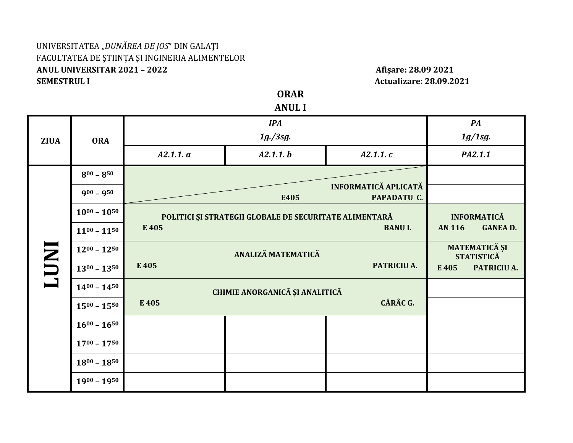## UNIVERSITATEA "*DUNĂREA DE JOS*" DIN GALAŢI FACULTATEA DE ŞTIINŢA ŞI INGINERIA ALIMENTELOR **ANUL UNIVERSITAR 2021 – 2022 Afişare: 28.09 2021 SEMESTRUL I** Actualizare: 28.09.2021

**ORAR ANUL I**

|              | <b>ORA</b>          | <b>IPA</b>                                             |          |                | PA            |                                    |  |
|--------------|---------------------|--------------------------------------------------------|----------|----------------|---------------|------------------------------------|--|
| <b>ZIUA</b>  |                     | $1g$ ./3sg.                                            |          |                |               | 1g/1sg.                            |  |
|              |                     | A2.1.1. a                                              | A2.1.1.b | A2.1.1.c       | PA2.1.1       |                                    |  |
| <b>INDT1</b> | $8^{00} - 8^{50}$   | INFORMATICĂ APLICATĂ<br>PAPADATU C.<br>E405            |          |                |               |                                    |  |
|              | $900 - 950$         |                                                        |          |                |               |                                    |  |
|              | $10^{00} - 10^{50}$ | POLITICI ȘI STRATEGII GLOBALE DE SECURITATE ALIMENTARĂ |          |                |               | <b>INFORMATICĂ</b>                 |  |
|              | $11^{00} - 11^{50}$ | E 405                                                  |          | <b>BANU I.</b> | <b>AN 116</b> | <b>GANEAD.</b>                     |  |
|              | $12^{00} - 12^{50}$ | ANALIZĂ MATEMATICĂ<br>E 405<br>PATRICIU A.             |          |                |               | MATEMATICĂ ȘI<br><b>STATISTICĂ</b> |  |
|              | $13^{00} - 13^{50}$ |                                                        |          |                |               | PATRICIU A.                        |  |
|              | $14^{00} - 14^{50}$ | CHIMIE ANORGANICĂ ȘI ANALITICĂ<br>CÂRÂC G.<br>E 405    |          |                |               |                                    |  |
|              | $15^{00} - 15^{50}$ |                                                        |          |                |               |                                    |  |
|              | $16^{00} - 16^{50}$ |                                                        |          |                |               |                                    |  |
|              | $17^{00} - 17^{50}$ |                                                        |          |                |               |                                    |  |
|              | $18^{00} - 18^{50}$ |                                                        |          |                |               |                                    |  |
|              | $1900 - 1950$       |                                                        |          |                |               |                                    |  |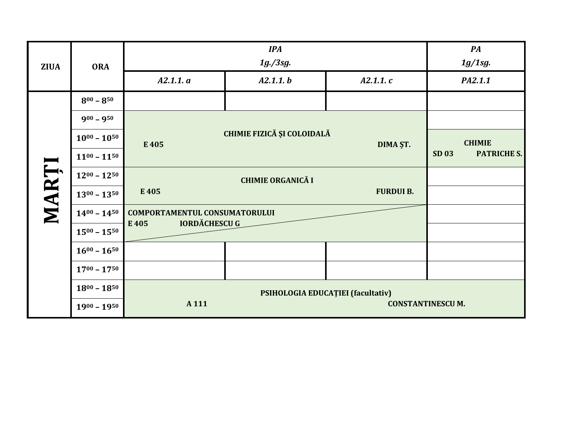| <b>ZIUA</b> | <b>ORA</b>          |                                      | PA<br>1g/1sg.                     |               |                             |
|-------------|---------------------|--------------------------------------|-----------------------------------|---------------|-----------------------------|
|             |                     | A2.1.1. a                            | $1g$ ./3sg.<br>A2.1.1. b          | A2.1.1.c      | PA2.1.1                     |
|             | $8^{00} - 8^{50}$   |                                      |                                   |               |                             |
|             | $900 - 950$         |                                      |                                   |               |                             |
|             | $10^{00} - 10^{50}$ | E 405                                | CHIMIE FIZICĂ ȘI COLOIDALĂ        | <b>CHIMIE</b> |                             |
|             | $11^{00} - 11^{50}$ |                                      | DIMA ȘT.                          |               | SD 03<br><b>PATRICHE S.</b> |
| MARȚI       | $12^{00} - 12^{50}$ |                                      |                                   |               |                             |
|             | $13^{00} - 13^{50}$ | E 405                                | <b>FURDUI B.</b>                  |               |                             |
|             | $14^{00} - 14^{50}$ | <b>COMPORTAMENTUL CONSUMATORULUI</b> |                                   |               |                             |
|             | $15^{00} - 15^{50}$ | <b>IORDĂCHESCU G</b><br>E405         |                                   |               |                             |
|             | $16^{00} - 16^{50}$ |                                      |                                   |               |                             |
|             | $17^{00} - 17^{50}$ |                                      |                                   |               |                             |
|             | $18^{00} - 18^{50}$ |                                      | PSIHOLOGIA EDUCAȚIEI (facultativ) |               |                             |
|             | $1900 - 1950$       | A 111<br><b>CONSTANTINESCUM.</b>     |                                   |               |                             |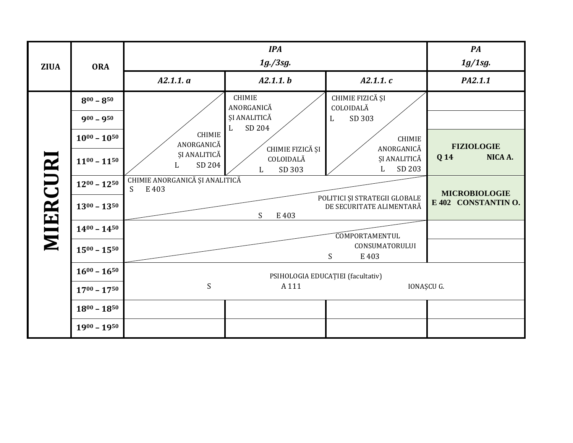| <b>ZIUA</b> | <b>ORA</b>          | <b>IPA</b><br>$1g$ ./3sg.                                  |                                                            |                                                               | $\boldsymbol{P} \boldsymbol{A}$<br>1g/1sg. |
|-------------|---------------------|------------------------------------------------------------|------------------------------------------------------------|---------------------------------------------------------------|--------------------------------------------|
|             |                     | A2.1.1. a                                                  | A2.1.1.b                                                   | A2.1.1.c                                                      | PA2.1.1                                    |
|             | $8^{00} - 8^{50}$   | <b>CHIMIE</b><br>ANORGANICĂ<br>ȘI ANALITICĂ<br>SD 204<br>L | <b>CHIMIE</b><br>ANORGANICĂ<br>ȘI ANALITICĂ<br>SD 204<br>L | CHIMIE FIZICĂ ȘI<br>COLOIDALĂ<br>SD 303<br>L<br><b>CHIMIE</b> |                                            |
|             | $900 - 950$         |                                                            |                                                            |                                                               |                                            |
|             | $10^{00} - 10^{50}$ |                                                            |                                                            |                                                               | <b>FIZIOLOGIE</b>                          |
|             | $11^{00} - 11^{50}$ |                                                            | CHIMIE FIZICĂ ȘI<br>COLOIDALĂ<br>SD 303<br>L               | ANORGANICĂ<br>ȘI ANALITICĂ<br>SD 203<br>L                     | NICA A.<br>Q 14                            |
|             | $12^{00} - 12^{50}$ | CHIMIE ANORGANICĂ ȘI ANALITICĂ<br>S<br>E 403               | <b>MICROBIOLOGIE</b>                                       |                                                               |                                            |
| MIERCURI    | $13^{00} - 13^{50}$ |                                                            | S<br>E 403                                                 | POLITICI ȘI STRATEGII GLOBALE<br>DE SECURITATE ALIMENTARĂ     | E 402 CONSTANTINO.                         |
|             | $14^{00} - 14^{50}$ |                                                            |                                                            |                                                               |                                            |
|             | $15^{00} - 15^{50}$ |                                                            |                                                            | <b>COMPORTAMENTUL</b><br>CONSUMATORULUI<br>S<br>E 403         |                                            |
|             | $16^{00} - 16^{50}$ |                                                            |                                                            |                                                               |                                            |
|             | $17^{00} - 17^{50}$ | S                                                          | IONAȘCU G.                                                 |                                                               |                                            |
|             | $18^{00} - 18^{50}$ |                                                            |                                                            |                                                               |                                            |
|             | $1900 - 1950$       |                                                            |                                                            |                                                               |                                            |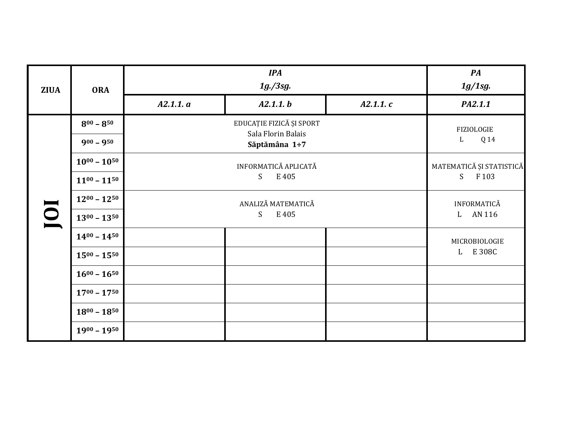| <b>ZIUA</b>             | <b>ORA</b>          | <b>IPA</b><br>$1g$ ./3sg.           |                         |          | $\boldsymbol{P} \boldsymbol{A}$<br>1g/1sg. |  |
|-------------------------|---------------------|-------------------------------------|-------------------------|----------|--------------------------------------------|--|
|                         |                     | A2.1.1. a                           | A2.1.1. b               | A2.1.1.c | PA2.1.1                                    |  |
|                         | $8^{00} - 8^{50}$   |                                     | FIZIOLOGIE<br>Q 14<br>L |          |                                            |  |
|                         | $900 - 950$         | Sala Florin Balais<br>Săptămâna 1÷7 |                         |          |                                            |  |
|                         | $10^{00} - 10^{50}$ | INFORMATICĂ APLICATĂ<br>S<br>E 405  |                         |          | MATEMATICĂ ȘI STATISTICĂ<br>S<br>F 103     |  |
| $\overline{\mathbf{0}}$ | $11^{00} - 11^{50}$ |                                     |                         |          |                                            |  |
|                         | $12^{00} - 12^{50}$ | ANALIZĂ MATEMATICĂ                  |                         |          | INFORMATICĂ                                |  |
|                         | $13^{00} - 13^{50}$ | S<br>E 405                          |                         |          | AN 116<br>$\mathbf{L}$                     |  |
|                         | $14^{00} - 14^{50}$ |                                     |                         |          | MICROBIOLOGIE<br>L E 308C                  |  |
|                         | $15^{00} - 15^{50}$ |                                     |                         |          |                                            |  |
|                         | $16^{00} - 16^{50}$ |                                     |                         |          |                                            |  |
|                         | $17^{00} - 17^{50}$ |                                     |                         |          |                                            |  |
|                         | $18^{00} - 18^{50}$ |                                     |                         |          |                                            |  |
|                         | $1900 - 1950$       |                                     |                         |          |                                            |  |